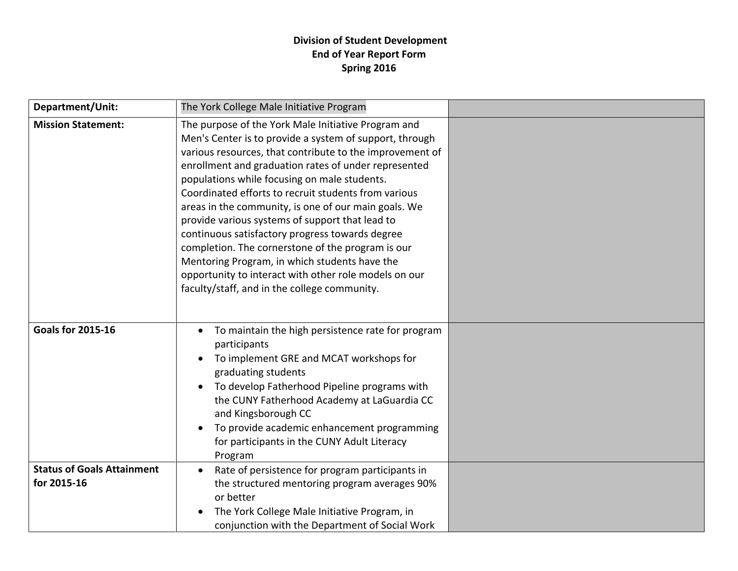## **Division of Student Development End of Year Report Form Spring 2016**

| Department/Unit:                                 | The York College Male Initiative Program                                                                                                                                                                                                                                                                                                                                                                                                                                                                                                                                                                                                                                                                                |  |
|--------------------------------------------------|-------------------------------------------------------------------------------------------------------------------------------------------------------------------------------------------------------------------------------------------------------------------------------------------------------------------------------------------------------------------------------------------------------------------------------------------------------------------------------------------------------------------------------------------------------------------------------------------------------------------------------------------------------------------------------------------------------------------------|--|
| <b>Mission Statement:</b>                        | The purpose of the York Male Initiative Program and<br>Men's Center is to provide a system of support, through<br>various resources, that contribute to the improvement of<br>enrollment and graduation rates of under represented<br>populations while focusing on male students.<br>Coordinated efforts to recruit students from various<br>areas in the community, is one of our main goals. We<br>provide various systems of support that lead to<br>continuous satisfactory progress towards degree<br>completion. The cornerstone of the program is our<br>Mentoring Program, in which students have the<br>opportunity to interact with other role models on our<br>faculty/staff, and in the college community. |  |
| <b>Goals for 2015-16</b>                         | To maintain the high persistence rate for program<br>participants<br>To implement GRE and MCAT workshops for<br>graduating students<br>To develop Fatherhood Pipeline programs with<br>the CUNY Fatherhood Academy at LaGuardia CC<br>and Kingsborough CC<br>To provide academic enhancement programming<br>for participants in the CUNY Adult Literacy<br>Program                                                                                                                                                                                                                                                                                                                                                      |  |
| <b>Status of Goals Attainment</b><br>for 2015-16 | Rate of persistence for program participants in<br>the structured mentoring program averages 90%<br>or better<br>The York College Male Initiative Program, in<br>conjunction with the Department of Social Work                                                                                                                                                                                                                                                                                                                                                                                                                                                                                                         |  |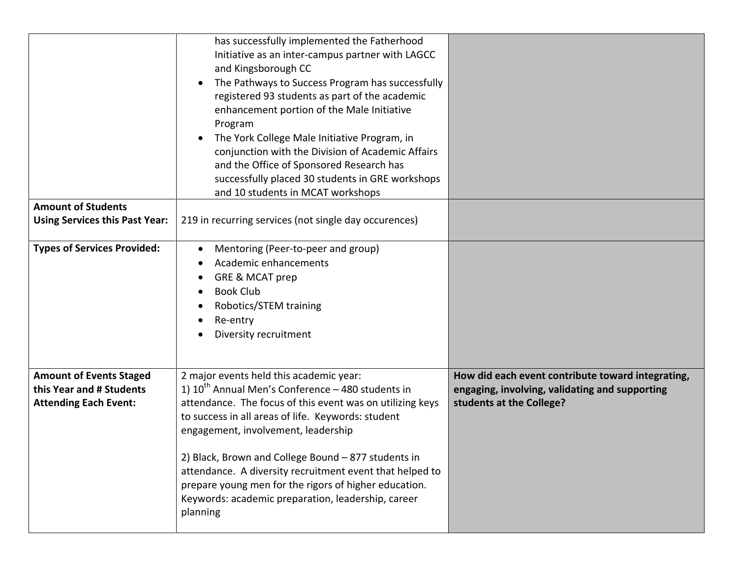|                                                                                            | has successfully implemented the Fatherhood<br>Initiative as an inter-campus partner with LAGCC<br>and Kingsborough CC<br>The Pathways to Success Program has successfully<br>registered 93 students as part of the academic<br>enhancement portion of the Male Initiative<br>Program<br>The York College Male Initiative Program, in<br>conjunction with the Division of Academic Affairs<br>and the Office of Sponsored Research has<br>successfully placed 30 students in GRE workshops<br>and 10 students in MCAT workshops |                                                                                                                                 |
|--------------------------------------------------------------------------------------------|---------------------------------------------------------------------------------------------------------------------------------------------------------------------------------------------------------------------------------------------------------------------------------------------------------------------------------------------------------------------------------------------------------------------------------------------------------------------------------------------------------------------------------|---------------------------------------------------------------------------------------------------------------------------------|
| <b>Amount of Students</b>                                                                  |                                                                                                                                                                                                                                                                                                                                                                                                                                                                                                                                 |                                                                                                                                 |
| <b>Using Services this Past Year:</b>                                                      | 219 in recurring services (not single day occurences)                                                                                                                                                                                                                                                                                                                                                                                                                                                                           |                                                                                                                                 |
| <b>Types of Services Provided:</b>                                                         | Mentoring (Peer-to-peer and group)<br>$\bullet$<br>Academic enhancements<br>GRE & MCAT prep<br><b>Book Club</b><br>Robotics/STEM training<br>Re-entry<br>Diversity recruitment                                                                                                                                                                                                                                                                                                                                                  |                                                                                                                                 |
| <b>Amount of Events Staged</b><br>this Year and # Students<br><b>Attending Each Event:</b> | 2 major events held this academic year:<br>1) $10^{th}$ Annual Men's Conference – 480 students in<br>attendance. The focus of this event was on utilizing keys<br>to success in all areas of life. Keywords: student<br>engagement, involvement, leadership<br>2) Black, Brown and College Bound - 877 students in<br>attendance. A diversity recruitment event that helped to<br>prepare young men for the rigors of higher education.<br>Keywords: academic preparation, leadership, career<br>planning                       | How did each event contribute toward integrating,<br>engaging, involving, validating and supporting<br>students at the College? |